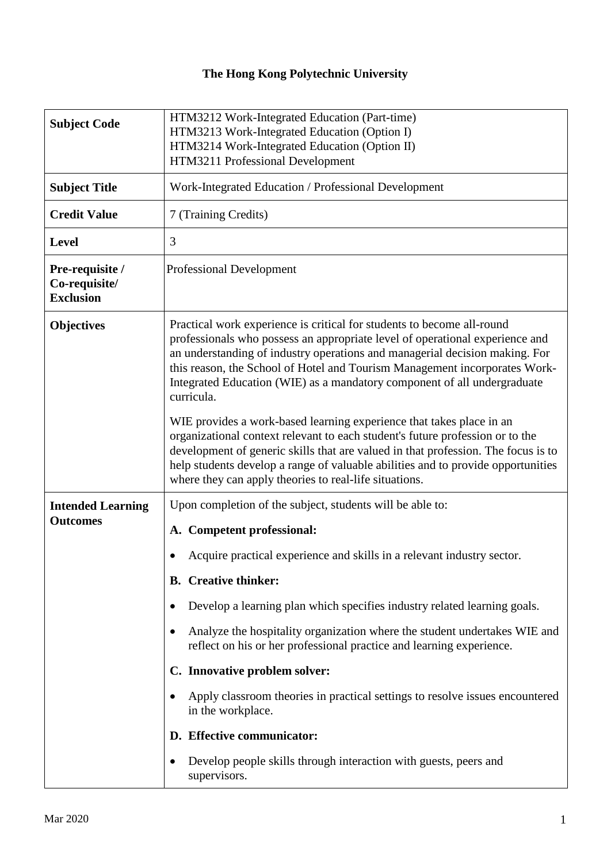## **The Hong Kong Polytechnic University**

| <b>Subject Code</b>                                  | HTM3212 Work-Integrated Education (Part-time)<br>HTM3213 Work-Integrated Education (Option I)<br>HTM3214 Work-Integrated Education (Option II)<br>HTM3211 Professional Development                                                                                                                                                                                                                            |
|------------------------------------------------------|---------------------------------------------------------------------------------------------------------------------------------------------------------------------------------------------------------------------------------------------------------------------------------------------------------------------------------------------------------------------------------------------------------------|
| <b>Subject Title</b>                                 | Work-Integrated Education / Professional Development                                                                                                                                                                                                                                                                                                                                                          |
| <b>Credit Value</b>                                  | 7 (Training Credits)                                                                                                                                                                                                                                                                                                                                                                                          |
| <b>Level</b>                                         | 3                                                                                                                                                                                                                                                                                                                                                                                                             |
| Pre-requisite /<br>Co-requisite/<br><b>Exclusion</b> | <b>Professional Development</b>                                                                                                                                                                                                                                                                                                                                                                               |
| <b>Objectives</b>                                    | Practical work experience is critical for students to become all-round<br>professionals who possess an appropriate level of operational experience and<br>an understanding of industry operations and managerial decision making. For<br>this reason, the School of Hotel and Tourism Management incorporates Work-<br>Integrated Education (WIE) as a mandatory component of all undergraduate<br>curricula. |
|                                                      | WIE provides a work-based learning experience that takes place in an<br>organizational context relevant to each student's future profession or to the<br>development of generic skills that are valued in that profession. The focus is to<br>help students develop a range of valuable abilities and to provide opportunities<br>where they can apply theories to real-life situations.                      |
| <b>Intended Learning</b><br><b>Outcomes</b>          | Upon completion of the subject, students will be able to:                                                                                                                                                                                                                                                                                                                                                     |
|                                                      | A. Competent professional:                                                                                                                                                                                                                                                                                                                                                                                    |
|                                                      | Acquire practical experience and skills in a relevant industry sector.                                                                                                                                                                                                                                                                                                                                        |
|                                                      | <b>B.</b> Creative thinker:                                                                                                                                                                                                                                                                                                                                                                                   |
|                                                      | Develop a learning plan which specifies industry related learning goals.                                                                                                                                                                                                                                                                                                                                      |
|                                                      | Analyze the hospitality organization where the student undertakes WIE and<br>٠<br>reflect on his or her professional practice and learning experience.                                                                                                                                                                                                                                                        |
|                                                      | C. Innovative problem solver:                                                                                                                                                                                                                                                                                                                                                                                 |
|                                                      | Apply classroom theories in practical settings to resolve issues encountered<br>$\bullet$<br>in the workplace.                                                                                                                                                                                                                                                                                                |
|                                                      | D. Effective communicator:                                                                                                                                                                                                                                                                                                                                                                                    |
|                                                      | Develop people skills through interaction with guests, peers and<br>$\bullet$<br>supervisors.                                                                                                                                                                                                                                                                                                                 |